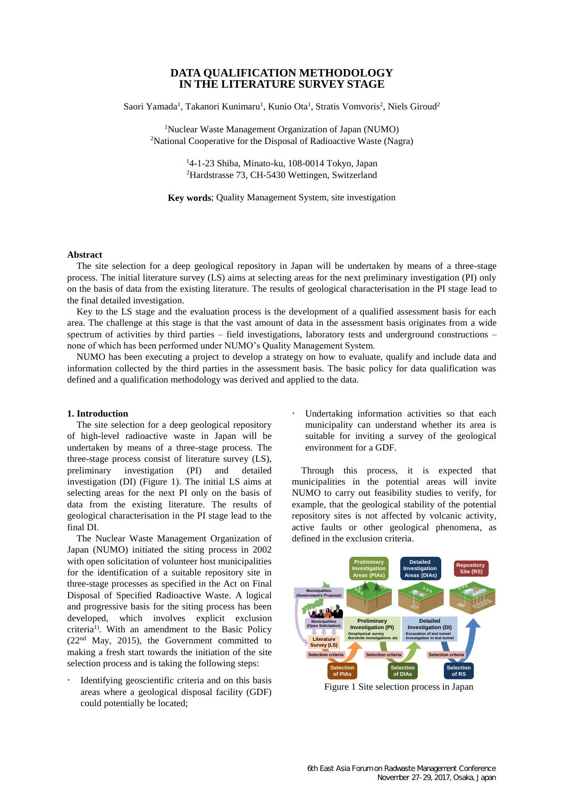# **DATA QUALIFICATION METHODOLOGY IN THE LITERATURE SURVEY STAGE**

Saori Yamada<sup>1</sup>, Takanori Kunimaru<sup>1</sup>, Kunio Ota<sup>1</sup>, Stratis Vomvoris<sup>2</sup>, Niels Giroud<sup>2</sup>

<sup>1</sup>Nuclear Waste Management Organization of Japan (NUMO) <sup>2</sup>National Cooperative for the Disposal of Radioactive Waste (Nagra)

> <sup>1</sup>4-1-23 Shiba, Minato-ku, 108-0014 Tokyo, Japan <sup>2</sup>Hardstrasse 73, CH-5430 Wettingen, Switzerland

**Key words**; Quality Management System, site investigation

# **Abstract**

The site selection for a deep geological repository in Japan will be undertaken by means of a three-stage process. The initial literature survey (LS) aims at selecting areas for the next preliminary investigation (PI) only on the basis of data from the existing literature. The results of geological characterisation in the PI stage lead to the final detailed investigation.

Key to the LS stage and the evaluation process is the development of a qualified assessment basis for each area. The challenge at this stage is that the vast amount of data in the assessment basis originates from a wide spectrum of activities by third parties – field investigations, laboratory tests and underground constructions – none of which has been performed under NUMO's Quality Management System.

NUMO has been executing a project to develop a strategy on how to evaluate, qualify and include data and information collected by the third parties in the assessment basis. The basic policy for data qualification was defined and a qualification methodology was derived and applied to the data.

# **1. Introduction**

The site selection for a deep geological repository of high-level radioactive waste in Japan will be undertaken by means of a three-stage process. The three-stage process consist of literature survey (LS), preliminary investigation (PI) and detailed investigation (DI) (Figure 1). The initial LS aims at selecting areas for the next PI only on the basis of data from the existing literature. The results of geological characterisation in the PI stage lead to the final DI.

The Nuclear Waste Management Organization of Japan (NUMO) initiated the siting process in 2002 with open solicitation of volunteer host municipalities for the identification of a suitable repository site in three-stage processes as specified in the Act on Final Disposal of Specified Radioactive Waste. A logical and progressive basis for the siting process has been developed, which involves explicit exclusion criteria<sup>1)</sup>. With an amendment to the Basic Policy  $(22<sup>nd</sup>$  May, 2015), the Government committed to making a fresh start towards the initiation of the site selection process and is taking the following steps:

 Identifying geoscientific criteria and on this basis areas where a geological disposal facility (GDF) could potentially be located;

 Undertaking information activities so that each municipality can understand whether its area is suitable for inviting a survey of the geological environment for a GDF.

Through this process, it is expected that municipalities in the potential areas will invite NUMO to carry out feasibility studies to verify, for example, that the geological stability of the potential repository sites is not affected by volcanic activity, active faults or other geological phenomena, as defined in the exclusion criteria.



Figure 1 Site selection process in Japan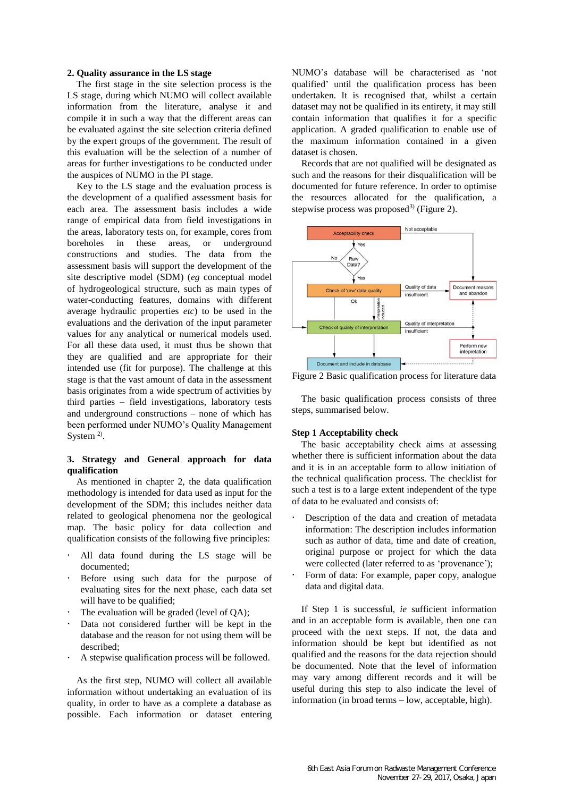### **2. Quality assurance in the LS stage**

The first stage in the site selection process is the LS stage, during which NUMO will collect available information from the literature, analyse it and compile it in such a way that the different areas can be evaluated against the site selection criteria defined by the expert groups of the government. The result of this evaluation will be the selection of a number of areas for further investigations to be conducted under the auspices of NUMO in the PI stage.

Key to the LS stage and the evaluation process is the development of a qualified assessment basis for each area. The assessment basis includes a wide range of empirical data from field investigations in the areas, laboratory tests on, for example, cores from boreholes in these areas, or underground constructions and studies. The data from the assessment basis will support the development of the site descriptive model (SDM) (*eg* conceptual model of hydrogeological structure, such as main types of water-conducting features, domains with different average hydraulic properties *etc*) to be used in the evaluations and the derivation of the input parameter values for any analytical or numerical models used. For all these data used, it must thus be shown that they are qualified and are appropriate for their intended use (fit for purpose). The challenge at this stage is that the vast amount of data in the assessment basis originates from a wide spectrum of activities by third parties – field investigations, laboratory tests and underground constructions – none of which has been performed under NUMO's Quality Management System  $2$ ).

# **3. Strategy and General approach for data qualification**

As mentioned in chapter 2, the data qualification methodology is intended for data used as input for the development of the SDM; this includes neither data related to geological phenomena nor the geological map. The basic policy for data collection and qualification consists of the following five principles:

- All data found during the LS stage will be documented;
- Before using such data for the purpose of evaluating sites for the next phase, each data set will have to be qualified;
- The evaluation will be graded (level of QA);
- Data not considered further will be kept in the database and the reason for not using them will be described;
- A stepwise qualification process will be followed.

As the first step, NUMO will collect all available information without undertaking an evaluation of its quality, in order to have as a complete a database as possible. Each information or dataset entering NUMO's database will be characterised as 'not qualified' until the qualification process has been undertaken. It is recognised that, whilst a certain dataset may not be qualified in its entirety, it may still contain information that qualifies it for a specific application. A graded qualification to enable use of the maximum information contained in a given dataset is chosen.

Records that are not qualified will be designated as such and the reasons for their disqualification will be documented for future reference. In order to optimise the resources allocated for the qualification, a stepwise process was proposed<sup>3)</sup> (Figure 2).



Figure 2 Basic qualification process for literature data

The basic qualification process consists of three steps, summarised below.

### **Step 1 Acceptability check**

The basic acceptability check aims at assessing whether there is sufficient information about the data and it is in an acceptable form to allow initiation of the technical qualification process. The checklist for such a test is to a large extent independent of the type of data to be evaluated and consists of:

- Description of the data and creation of metadata information: The description includes information such as author of data, time and date of creation, original purpose or project for which the data were collected (later referred to as 'provenance');
- Form of data: For example, paper copy, analogue data and digital data.

If Step 1 is successful, *ie* sufficient information and in an acceptable form is available, then one can proceed with the next steps. If not, the data and information should be kept but identified as not qualified and the reasons for the data rejection should be documented. Note that the level of information may vary among different records and it will be useful during this step to also indicate the level of information (in broad terms – low, acceptable, high).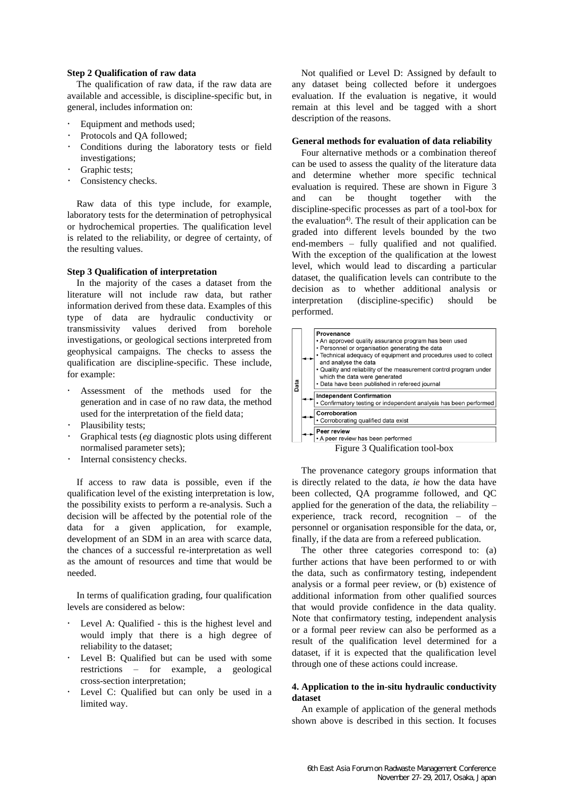#### **Step 2 Qualification of raw data**

The qualification of raw data, if the raw data are available and accessible, is discipline-specific but, in general, includes information on:

- Equipment and methods used;
- Protocols and QA followed;
- Conditions during the laboratory tests or field investigations;
- Graphic tests;
- Consistency checks.

Raw data of this type include, for example, laboratory tests for the determination of petrophysical or hydrochemical properties. The qualification level is related to the reliability, or degree of certainty, of the resulting values.

# **Step 3 Qualification of interpretation**

In the majority of the cases a dataset from the literature will not include raw data, but rather information derived from these data. Examples of this type of data are hydraulic conductivity or transmissivity values derived from borehole investigations, or geological sections interpreted from geophysical campaigns. The checks to assess the qualification are discipline-specific. These include, for example:

- Assessment of the methods used for the generation and in case of no raw data, the method used for the interpretation of the field data;
- Plausibility tests;
- Graphical tests (*eg* diagnostic plots using different normalised parameter sets);
- Internal consistency checks.

If access to raw data is possible, even if the qualification level of the existing interpretation is low, the possibility exists to perform a re-analysis. Such a decision will be affected by the potential role of the data for a given application, for example, development of an SDM in an area with scarce data, the chances of a successful re-interpretation as well as the amount of resources and time that would be needed.

In terms of qualification grading, four qualification levels are considered as below:

- Level A: Qualified this is the highest level and would imply that there is a high degree of reliability to the dataset;
- Level B: Qualified but can be used with some restrictions – for example, a geological cross-section interpretation;
- Level C: Qualified but can only be used in a limited way.

Not qualified or Level D: Assigned by default to any dataset being collected before it undergoes evaluation. If the evaluation is negative, it would remain at this level and be tagged with a short description of the reasons.

# **General methods for evaluation of data reliability**

Four alternative methods or a combination thereof can be used to assess the quality of the literature data and determine whether more specific technical evaluation is required. These are shown in Figure 3 and can be thought together with the discipline-specific processes as part of a tool-box for the evaluation<sup>4)</sup>. The result of their application can be graded into different levels bounded by the two end-members – fully qualified and not qualified. With the exception of the qualification at the lowest level, which would lead to discarding a particular dataset, the qualification levels can contribute to the decision as to whether additional analysis or interpretation (discipline-specific) should be performed.

| Data | <b>Provenance</b><br>• An approved quality assurance program has been used<br>• Personnel or organisation generating the data<br>• Technical adequacy of equipment and procedures used to collect<br>and analyse the data<br>• Quality and reliability of the measurement control program under<br>which the data were generated<br>· Data have been published in refereed journal |
|------|------------------------------------------------------------------------------------------------------------------------------------------------------------------------------------------------------------------------------------------------------------------------------------------------------------------------------------------------------------------------------------|
|      |                                                                                                                                                                                                                                                                                                                                                                                    |
|      | <b>Independent Confirmation</b>                                                                                                                                                                                                                                                                                                                                                    |
|      | • Confirmatory testing or independent analysis has been performed                                                                                                                                                                                                                                                                                                                  |
|      | Corroboration                                                                                                                                                                                                                                                                                                                                                                      |
|      |                                                                                                                                                                                                                                                                                                                                                                                    |
|      | • Corroborating qualified data exist                                                                                                                                                                                                                                                                                                                                               |
|      | Peer review                                                                                                                                                                                                                                                                                                                                                                        |
|      | • A peer review has been performed                                                                                                                                                                                                                                                                                                                                                 |
|      |                                                                                                                                                                                                                                                                                                                                                                                    |

Figure 3 Qualification tool-box

The provenance category groups information that is directly related to the data, *ie* how the data have been collected, QA programme followed, and QC applied for the generation of the data, the reliability – experience, track record, recognition – of the personnel or organisation responsible for the data, or, finally, if the data are from a refereed publication.

The other three categories correspond to: (a) further actions that have been performed to or with the data, such as confirmatory testing, independent analysis or a formal peer review, or (b) existence of additional information from other qualified sources that would provide confidence in the data quality. Note that confirmatory testing, independent analysis or a formal peer review can also be performed as a result of the qualification level determined for a dataset, if it is expected that the qualification level through one of these actions could increase.

# **4. Application to the in-situ hydraulic conductivity dataset**

An example of application of the general methods shown above is described in this section. It focuses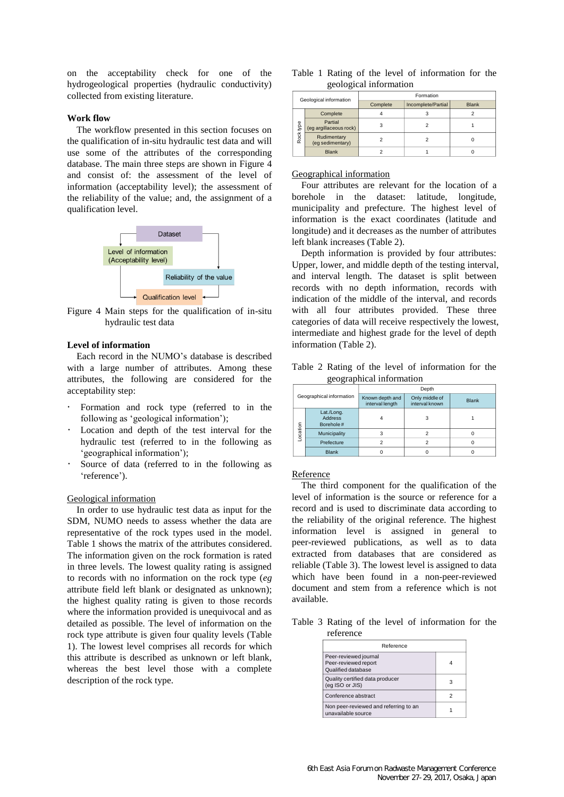on the acceptability check for one of the hydrogeological properties (hydraulic conductivity) collected from existing literature.

# **Work flow**

The workflow presented in this section focuses on the qualification of in-situ hydraulic test data and will use some of the attributes of the corresponding database. The main three steps are shown in Figure 4 and consist of: the assessment of the level of information (acceptability level); the assessment of the reliability of the value; and, the assignment of a qualification level.



Figure 4 Main steps for the qualification of in-situ hydraulic test data

# **Level of information**

Each record in the NUMO's database is described with a large number of attributes. Among these attributes, the following are considered for the acceptability step:

- Formation and rock type (referred to in the following as 'geological information');
- Location and depth of the test interval for the hydraulic test (referred to in the following as 'geographical information');
- Source of data (referred to in the following as 'reference').

#### Geological information

In order to use hydraulic test data as input for the SDM, NUMO needs to assess whether the data are representative of the rock types used in the model. Table 1 shows the matrix of the attributes considered. The information given on the rock formation is rated in three levels. The lowest quality rating is assigned to records with no information on the rock type (*eg* attribute field left blank or designated as unknown); the highest quality rating is given to those records where the information provided is unequivocal and as detailed as possible. The level of information on the rock type attribute is given four quality levels (Table 1). The lowest level comprises all records for which this attribute is described as unknown or left blank, whereas the best level those with a complete description of the rock type.

|  |                        |  |  | Table 1 Rating of the level of information for the |  |
|--|------------------------|--|--|----------------------------------------------------|--|
|  | geological information |  |  |                                                    |  |

| Geological information |                                   | Formation                      |   |              |  |  |  |
|------------------------|-----------------------------------|--------------------------------|---|--------------|--|--|--|
|                        |                                   | Incomplete/Partial<br>Complete |   | <b>Blank</b> |  |  |  |
| Complete               |                                   |                                |   |              |  |  |  |
| Rock type              | Partial<br>(eq argillaceous rock) | 3                              | っ |              |  |  |  |
|                        | Rudimentary<br>(eq sedimentary)   |                                |   |              |  |  |  |
|                        | <b>Blank</b>                      |                                |   |              |  |  |  |

#### Geographical information

Four attributes are relevant for the location of a borehole in the dataset: latitude, longitude, municipality and prefecture. The highest level of information is the exact coordinates (latitude and longitude) and it decreases as the number of attributes left blank increases (Table 2).

Depth information is provided by four attributes: Upper, lower, and middle depth of the testing interval, and interval length. The dataset is split between records with no depth information, records with indication of the middle of the interval, and records with all four attributes provided. These three categories of data will receive respectively the lowest, intermediate and highest grade for the level of depth information (Table 2).

Table 2 Rating of the level of information for the geographical information

| Geographical information |                                           | Depth                                                                  |  |              |  |  |  |  |
|--------------------------|-------------------------------------------|------------------------------------------------------------------------|--|--------------|--|--|--|--|
|                          |                                           | Only middle of<br>Known depth and<br>interval known<br>interval length |  | <b>Blank</b> |  |  |  |  |
|                          | Lat./Long.<br><b>Address</b><br>Borehole# |                                                                        |  |              |  |  |  |  |
| Location                 | Municipality                              |                                                                        |  |              |  |  |  |  |
|                          | Prefecture                                |                                                                        |  |              |  |  |  |  |
|                          | <b>Blank</b>                              |                                                                        |  |              |  |  |  |  |

#### Reference

The third component for the qualification of the level of information is the source or reference for a record and is used to discriminate data according to the reliability of the original reference. The highest information level is assigned in general to peer-reviewed publications, as well as to data extracted from databases that are considered as reliable (Table 3). The lowest level is assigned to data which have been found in a non-peer-reviewed document and stem from a reference which is not available.

Table 3 Rating of the level of information for the reference

| Reference                                                           |  |
|---------------------------------------------------------------------|--|
| Peer-reviewed journal<br>Peer-reviewed report<br>Qualified database |  |
| Quality certified data producer<br>(eq ISO or JIS)                  |  |
| Conference abstract                                                 |  |
| Non peer-reviewed and referring to an<br>unavailable source         |  |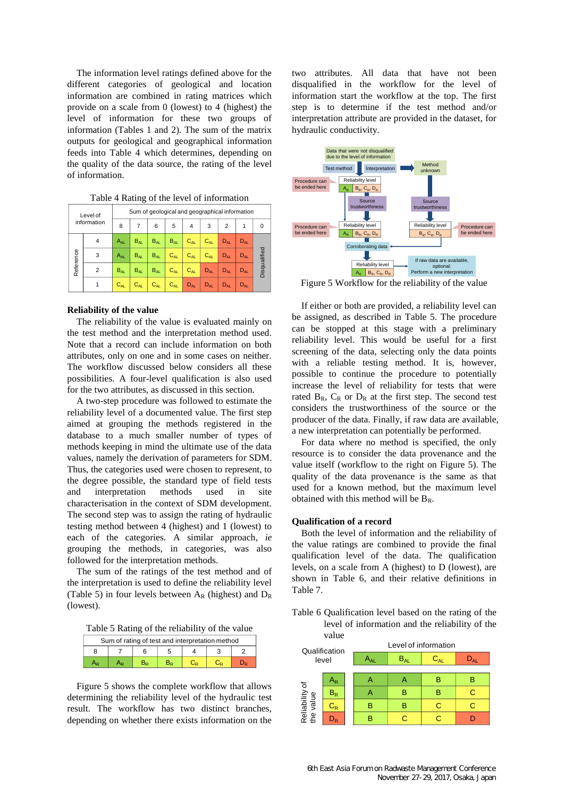The information level ratings defined above for the different categories of geological and location information are combined in rating matrices which provide on a scale from 0 (lowest) to 4 (highest) the level of information for these two groups of information (Tables 1 and 2). The sum of the matrix outputs for geological and geographical information feeds into Table 4 which determines, depending on the quality of the data source, the rating of the level of information.

| Level of<br>information |                | Sum of geological and geographical information |          |          |          |          |          |                |          |              |  |
|-------------------------|----------------|------------------------------------------------|----------|----------|----------|----------|----------|----------------|----------|--------------|--|
|                         |                | 8                                              | 7        | 6        | 5        | 4        | 3        | $\overline{2}$ | 1        | 0            |  |
|                         | 4              | $A_{AL}$                                       | $B_{AL}$ | $B_{AL}$ | $B_{AL}$ | $C_{AL}$ | $C_{AL}$ | $D_{AL}$       | $D_{AL}$ |              |  |
| Reference               | 3              | $A_{AL}$                                       | $B_{AL}$ | $B_{AL}$ | $C_{AL}$ | $C_{AL}$ | $C_{AL}$ | $D_{AI}$       | $D_{AL}$ |              |  |
|                         | $\overline{2}$ | $B_{AL}$                                       | $B_{AL}$ | $B_{AL}$ | $C_{AL}$ | $C_{AL}$ | $D_{AL}$ | $D_{AL}$       | $D_{AL}$ | Disqualified |  |
|                         |                | $C_{AL}$                                       | $C_{AL}$ | $C_{AL}$ | $C_{AL}$ | $D_{AL}$ | $D_{AL}$ | $D_{AL}$       | $D_{AL}$ |              |  |

Table 4 Rating of the level of information

#### **Reliability of the value**

The reliability of the value is evaluated mainly on the test method and the interpretation method used. Note that a record can include information on both attributes, only on one and in some cases on neither. The workflow discussed below considers all these possibilities. A four-level qualification is also used for the two attributes, as discussed in this section.

A two-step procedure was followed to estimate the reliability level of a documented value. The first step aimed at grouping the methods registered in the database to a much smaller number of types of methods keeping in mind the ultimate use of the data values, namely the derivation of parameters for SDM. Thus, the categories used were chosen to represent, to the degree possible, the standard type of field tests and interpretation methods used in site characterisation in the context of SDM development. The second step was to assign the rating of hydraulic testing method between 4 (highest) and 1 (lowest) to each of the categories. A similar approach, *ie* grouping the methods, in categories, was also followed for the interpretation methods.

The sum of the ratings of the test method and of the interpretation is used to define the reliability level (Table 5) in four levels between  $A_R$  (highest) and  $D_R$ (lowest).

Table 5 Rating of the reliability of the value

| Sum of rating of test and interpretation method |  |  |  |  |  |  |  |
|-------------------------------------------------|--|--|--|--|--|--|--|
|                                                 |  |  |  |  |  |  |  |
|                                                 |  |  |  |  |  |  |  |

Figure 5 shows the complete workflow that allows determining the reliability level of the hydraulic test result. The workflow has two distinct branches, depending on whether there exists information on the

two attributes. All data that have not been disqualified in the workflow for the level of information start the workflow at the top. The first step is to determine if the test method and/or interpretation attribute are provided in the dataset, for hydraulic conductivity.



Figure 5 Workflow for the reliability of the value

If either or both are provided, a reliability level can be assigned, as described in Table 5. The procedure can be stopped at this stage with a preliminary reliability level. This would be useful for a first screening of the data, selecting only the data points with a reliable testing method. It is, however, possible to continue the procedure to potentially increase the level of reliability for tests that were rated  $B_R$ ,  $C_R$  or  $D_R$  at the first step. The second test considers the trustworthiness of the source or the producer of the data. Finally, if raw data are available, a new interpretation can potentially be performed.

For data where no method is specified, the only resource is to consider the data provenance and the value itself (workflow to the right on Figure 5). The quality of the data provenance is the same as that used for a known method, but the maximum level obtained with this method will be  $B_R$ .

#### **Qualification of a record**

Both the level of information and the reliability of the value ratings are combined to provide the final qualification level of the data. The qualification levels, on a scale from A (highest) to D (lowest), are shown in Table 6, and their relative definitions in Table 7.

Table 6 Qualification level based on the rating of the level of information and the reliability of the

|                             | value                     |                            |          |          |              |   |  |  |
|-----------------------------|---------------------------|----------------------------|----------|----------|--------------|---|--|--|
| Qualification<br>level      |                           | Level of information       |          |          |              |   |  |  |
|                             |                           | $\mathsf{A}_{\mathsf{AL}}$ | $B_{AL}$ | $C_{AL}$ | $D_{\rm AL}$ |   |  |  |
|                             |                           |                            |          |          |              |   |  |  |
|                             | $A_{\mathsf{R}}$          |                            | Α        | А        | в            | R |  |  |
|                             | $\mathsf{B}_{\mathsf{R}}$ |                            | А        | в        | B            | C |  |  |
| Reliability of<br>the value | $\mathtt{C_{R}}$          |                            | B        | в        | C            | C |  |  |
|                             | <b>V<sub>R</sub></b>      |                            | B        |          |              |   |  |  |